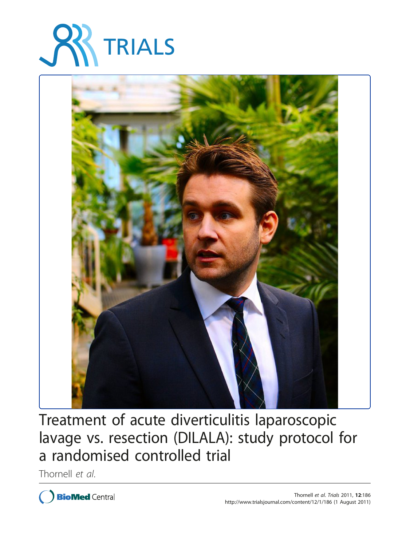



Treatment of acute diverticulitis laparoscopic lavage vs. resection (DILALA): study protocol for a randomised controlled trial

Thornell et al.

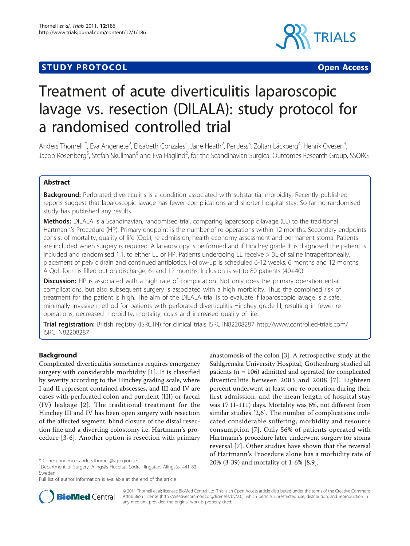## **STUDY PROTOCOL CONSUMING THE CONSUMING OPEN ACCESS**



# Treatment of acute diverticulitis laparoscopic lavage vs. resection (DILALA): study protocol for a randomised controlled trial

Anders Thornell<sup>1\*</sup>, Eva Angenete<sup>2</sup>, Elisabeth Gonzales<sup>2</sup>, Jane Heath<sup>2</sup>, Per Jess<sup>3</sup>, Zoltan Läckberg<sup>4</sup>, Henrik Ovesen<sup>3</sup> , Jacob Rosenberg<sup>5</sup>, Stefan Skullman<sup>6</sup> and Eva Haglind<sup>2</sup>, for the Scandinavian Surgical Outcomes Research Group, SSORG

## Abstract

**Background:** Perforated diverticulitis is a condition associated with substantial morbidity. Recently published reports suggest that laparoscopic lavage has fewer complications and shorter hospital stay. So far no randomised study has published any results.

Methods: DILALA is a Scandinavian, randomised trial, comparing laparoscopic lavage (LL) to the traditional Hartmann's Procedure (HP). Primary endpoint is the number of re-operations within 12 months. Secondary endpoints consist of mortality, quality of life (QoL), re-admission, health economy assessment and permanent stoma. Patients are included when surgery is required. A laparoscopy is performed and if Hinchey grade III is diagnosed the patient is included and randomised 1:1, to either LL or HP. Patients undergoing LL receive > 3L of saline intraperitoneally, placement of pelvic drain and continued antibiotics. Follow-up is scheduled 6-12 weeks, 6 months and 12 months. A QoL-form is filled out on discharge, 6- and 12 months. Inclusion is set to 80 patients (40+40).

**Discussion:** HP is associated with a high rate of complication. Not only does the primary operation entail complications, but also subsequent surgery is associated with a high morbidity. Thus the combined risk of treatment for the patient is high. The aim of the DILALA trial is to evaluate if laparoscopic lavage is a safe, minimally invasive method for patients with perforated diverticulitis Hinchey grade III, resulting in fewer reoperations, decreased morbidity, mortality, costs and increased quality of life.

Trial registration: British registry (ISRCTN) for clinical trials [ISRCTN82208287 http://www.controlled-trials.com/](http://www.controlled-trials.com/ISRCTN82208287) [ISRCTN82208287](http://www.controlled-trials.com/ISRCTN82208287)

## Background

Complicated diverticulitis sometimes requires emergency surgery with considerable morbidity [[1](#page-5-0)]. It is classified by severity according to the Hinchey grading scale, where I and II represent contained abscesses, and III and IV are cases with perforated colon and purulent (III) or faecal (IV) leakage [[2\]](#page-5-0). The traditional treatment for the Hinchey III and IV has been open surgery with resection of the affected segment, blind closure of the distal resection line and a diverting colostomy i.e. Hartmann's procedure [[3-6\]](#page-5-0). Another option is resection with primary

anastomosis of the colon [\[3](#page-5-0)]. A retrospective study at the Sahlgrenska University Hospital, Gothenburg studied all patients ( $n = 106$ ) admitted and operated for complicated diverticulitis between 2003 and 2008 [[7](#page-5-0)]. Eighteen percent underwent at least one re-operation during their first admission, and the mean length of hospital stay was 17 (1-111) days. Mortality was 6%, not different from similar studies [[2,6](#page-5-0)]. The number of complications indicated considerable suffering, morbidity and resource consumption [[7](#page-5-0)]. Only 56% of patients operated with Hartmann's procedure later underwent surgery for stoma reversal [[7\]](#page-5-0). Other studies have shown that the reversal of Hartmann's Procedure alone has a morbidity rate of \* Correspondence: anders.thornell@vgregion.se 20% (3-39) and mortality of 1-6% [\[8,9](#page-5-0)].



© 2011 Thornell et al; licensee BioMed Central Ltd. This is an Open Access article distributed under the terms of the Creative Commons Attribution License [\(http://creativecommons.org/licenses/by/2.0](http://creativecommons.org/licenses/by/2.0)), which permits unrestricted use, distribution, and reproduction in any medium, provided the original work is properly cited.

<sup>1</sup> Department of Surgery, Alingsås Hospital, Södra Ringatan, Alingsås, 441 83, Sweden

Full list of author information is available at the end of the article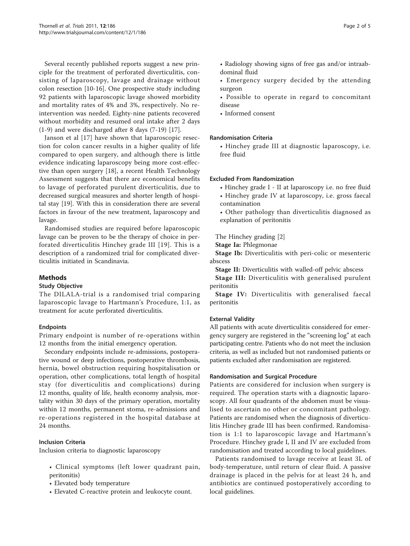Several recently published reports suggest a new principle for the treatment of perforated diverticulitis, consisting of laparoscopy, lavage and drainage without colon resection [[10](#page-5-0)-[16\]](#page-5-0). One prospective study including 92 patients with laparoscopic lavage showed morbidity and mortality rates of 4% and 3%, respectively. No reintervention was needed. Eighty-nine patients recovered without morbidity and resumed oral intake after 2 days (1-9) and were discharged after 8 days (7-19) [[17](#page-5-0)].

Janson et al [[17\]](#page-5-0) have shown that laparoscopic resection for colon cancer results in a higher quality of life compared to open surgery, and although there is little evidence indicating laparoscopy being more cost-effective than open surgery [[18](#page-5-0)], a recent Health Technology Assessment suggests that there are economical benefits to lavage of perforated purulent diverticulitis, due to decreased surgical measures and shorter length of hospital stay [\[19](#page-5-0)]. With this in consideration there are several factors in favour of the new treatment, laparoscopy and lavage.

Randomised studies are required before laparoscopic lavage can be proven to be the therapy of choice in perforated diverticulitis Hinchey grade III [[19](#page-5-0)]. This is a description of a randomized trial for complicated diverticulitis initiated in Scandinavia.

## Methods

### Study Objective

The DILALA-trial is a randomised trial comparing laparoscopic lavage to Hartmann's Procedure, 1:1, as treatment for acute perforated diverticulitis.

### Endpoints

Primary endpoint is number of re-operations within 12 months from the initial emergency operation.

Secondary endpoints include re-admissions, postoperative wound or deep infections, postoperative thrombosis, hernia, bowel obstruction requiring hospitalisation or operation, other complications, total length of hospital stay (for diverticulitis and complications) during 12 months, quality of life, health economy analysis, mortality within 30 days of the primary operation, mortality within 12 months, permanent stoma, re-admissions and re-operations registered in the hospital database at 24 months.

### Inclusion Criteria

Inclusion criteria to diagnostic laparoscopy

- Clinical symptoms (left lower quadrant pain, peritonitis)
- Elevated body temperature
- Elevated C-reactive protein and leukocyte count.
- Radiology showing signs of free gas and/or intraabdominal fluid
- Emergency surgery decided by the attending surgeon
- Possible to operate in regard to concomitant disease
- Informed consent

#### Randomisation Criteria

• Hinchey grade III at diagnostic laparoscopy, i.e. free fluid

#### Excluded From Randomization

• Hinchey grade I - II at laparoscopy i.e. no free fluid • Hinchey grade IV at laparoscopy, i.e. gross faecal contamination

• Other pathology than diverticulitis diagnosed as explanation of peritonitis

The Hinchey grading [\[2](#page-5-0)]

Stage Ia: Phlegmonae

Stage Ib: Diverticulitis with peri-colic or mesenteric abscess

Stage II: Diverticulitis with walled-off pelvic abscess

Stage III: Diverticulitis with generalised purulent peritonitis

Stage IV: Diverticulitis with generalised faecal peritonitis

### External Validity

All patients with acute diverticulitis considered for emergency surgery are registered in the "screening log" at each participating centre. Patients who do not meet the inclusion criteria, as well as included but not randomised patients or patients excluded after randomisation are registered.

#### Randomisation and Surgical Procedure

Patients are considered for inclusion when surgery is required. The operation starts with a diagnostic laparoscopy. All four quadrants of the abdomen must be visualised to ascertain no other or concomitant pathology. Patients are randomised when the diagnosis of diverticulitis Hinchey grade III has been confirmed. Randomisation is 1:1 to laparoscopic lavage and Hartmann's Procedure. Hinchey grade I, II and IV are excluded from randomisation and treated according to local guidelines.

Patients randomised to lavage receive at least 3L of body-temperature, until return of clear fluid. A passive drainage is placed in the pelvis for at least 24 h, and antibiotics are continued postoperatively according to local guidelines.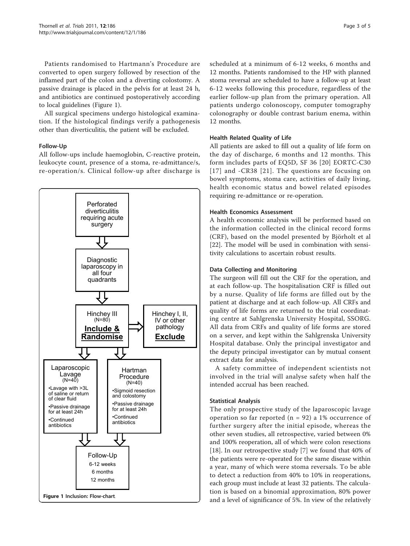Patients randomised to Hartmann's Procedure are converted to open surgery followed by resection of the inflamed part of the colon and a diverting colostomy. A passive drainage is placed in the pelvis for at least 24 h, and antibiotics are continued postoperatively according to local guidelines (Figure 1).

All surgical specimens undergo histological examination. If the histological findings verify a pathogenesis other than diverticulitis, the patient will be excluded.

### Follow-Up

All follow-ups include haemoglobin, C-reactive protein, leukocyte count, presence of a stoma, re-admittance/s, re-operation/s. Clinical follow-up after discharge is



scheduled at a minimum of 6-12 weeks, 6 months and 12 months. Patients randomised to the HP with planned stoma reversal are scheduled to have a follow-up at least 6-12 weeks following this procedure, regardless of the earlier follow-up plan from the primary operation. All patients undergo colonoscopy, computer tomography colonography or double contrast barium enema, within 12 months.

## Health Related Quality of Life

All patients are asked to fill out a quality of life form on the day of discharge, 6 months and 12 months. This form includes parts of EQ5D, SF 36 [\[20\]](#page-5-0) EORTC-C30 [[17\]](#page-5-0) and -CR38 [\[21](#page-5-0)]. The questions are focusing on bowel symptoms, stoma care, activities of daily living, health economic status and bowel related episodes requiring re-admittance or re-operation.

### Health Economics Assessment

A health economic analysis will be performed based on the information collected in the clinical record forms (CRF), based on the model presented by Björholt et al [[22\]](#page-5-0). The model will be used in combination with sensitivity calculations to ascertain robust results.

## Data Collecting and Monitoring

The surgeon will fill out the CRF for the operation, and at each follow-up. The hospitalisation CRF is filled out by a nurse. Quality of life forms are filled out by the patient at discharge and at each follow-up. All CRFs and quality of life forms are returned to the trial coordinating centre at Sahlgrenska University Hospital, SSORG. All data from CRFs and quality of life forms are stored on a server, and kept within the Sahlgrenska University Hospital database. Only the principal investigator and the deputy principal investigator can by mutual consent extract data for analysis.

A safety committee of independent scientists not involved in the trial will analyse safety when half the intended accrual has been reached.

## Statistical Analysis

The only prospective study of the laparoscopic lavage operation so far reported ( $n = 92$ ) a 1% occurrence of further surgery after the initial episode, whereas the other seven studies, all retrospective, varied between 0% and 100% reoperation, all of which were colon resections [[18\]](#page-5-0). In our retrospective study [\[7](#page-5-0)] we found that 40% of the patients were re-operated for the same disease within a year, many of which were stoma reversals. To be able to detect a reduction from 40% to 10% in reoperations, each group must include at least 32 patients. The calculation is based on a binomial approximation, 80% power and a level of significance of 5%. In view of the relatively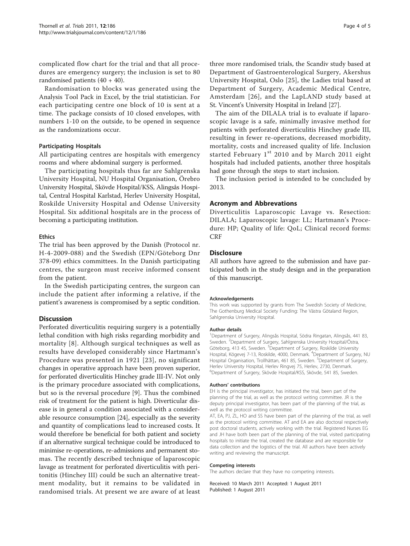complicated flow chart for the trial and that all procedures are emergency surgery; the inclusion is set to 80 randomised patients (40 + 40).

Randomisation to blocks was generated using the Analysis Tool Pack in Excel, by the trial statistician. For each participating centre one block of 10 is sent at a time. The package consists of 10 closed envelopes, with numbers 1-10 on the outside, to be opened in sequence as the randomizations occur.

#### Participating Hospitals

All participating centres are hospitals with emergency rooms and where abdominal surgery is performed.

The participating hospitals thus far are Sahlgrenska University Hospital, NU Hospital Organisation, Örebro University Hospital, Skövde Hospital/KSS, Alingsås Hospital, Central Hospital Karlstad, Herlev University Hospital, Roskilde University Hospital and Odense University Hospital. Six additional hospitals are in the process of becoming a participating institution.

#### Ethics

The trial has been approved by the Danish (Protocol nr. H-4-2009-088) and the Swedish (EPN/Göteborg Dnr 378-09) ethics committees. In the Danish participating centres, the surgeon must receive informed consent from the patient.

In the Swedish participating centres, the surgeon can include the patient after informing a relative, if the patient's awareness is compromised by a septic condition.

### **Discussion**

Perforated diverticulitis requiring surgery is a potentially lethal condition with high risks regarding morbidity and mortality [\[8\]](#page-5-0). Although surgical techniques as well as results have developed considerably since Hartmann's Procedure was presented in 1921 [[23](#page-5-0)], no significant changes in operative approach have been proven superior, for perforated diverticulitis Hinchey grade III-IV. Not only is the primary procedure associated with complications, but so is the reversal procedure [\[9](#page-5-0)]. Thus the combined risk of treatment for the patient is high. Diverticular disease is in general a condition associated with a considerable resource consumption [\[24](#page-5-0)], especially as the severity and quantity of complications lead to increased costs. It would therefore be beneficial for both patient and society if an alternative surgical technique could be introduced to minimise re-operations, re-admissions and permanent stomas. The recently described technique of laparoscopic lavage as treatment for perforated diverticulitis with peritonitis (Hinchey III) could be such an alternative treatment modality, but it remains to be validated in randomised trials. At present we are aware of at least

three more randomised trials, the Scandiv study based at Department of Gastroenterological Surgery, Akershus University Hospital, Oslo [\[25\]](#page-5-0), the Ladies trial based at Department of Surgery, Academic Medical Centre, Amsterdam [[26\]](#page-5-0), and the LapLAND study based at St. Vincent's University Hospital in Ireland [[27](#page-5-0)].

The aim of the DILALA trial is to evaluate if laparoscopic lavage is a safe, minimally invasive method for patients with perforated diverticulitis Hinchey grade III, resulting in fewer re-operations, decreased morbidity, mortality, costs and increased quality of life. Inclusion started February  $1<sup>st</sup>$  2010 and by March 2011 eight hospitals had included patients, another three hospitals had gone through the steps to start inclusion.

The inclusion period is intended to be concluded by 2013.

### Acronym and Abbrevations

Diverticulitis Laparoscopic Lavage vs. Resection: DILALA; Laparoscopic lavage: LL; Hartmann's Procedure: HP; Quality of life: QoL; Clinical record forms: CRF

#### **Disclosure**

All authors have agreed to the submission and have participated both in the study design and in the preparation of this manuscript.

#### Acknowledgements

This work was supported by grants from The Swedish Society of Medicine, The Gothenburg Medical Society Funding: The Västra Götaland Region, Sahlgrenska University Hospital.

#### Author details

<sup>1</sup>Department of Surgery, Alingsås Hospital, Södra Ringatan, Alingsås, 441 83, Sweden. <sup>2</sup>Department of Surgery, Sahlgrenska University Hospital/Östra, Göteborg, 413 45, Sweden. <sup>3</sup> Department of Surgery, Roskilde University Hospital, Kögevej 7-13, Roskilde, 4000, Denmark. <sup>4</sup>Department of Surgery, NU Hospital Organisation, Trollhättan, 461 85, Sweden. <sup>5</sup>Department of Surgery, Herlev University Hospital, Herlev Ringvej 75, Herlev, 2730, Denmark. 6 Department of Surgery, Skövde Hospital/KSS, Skövde, 541 85, Sweden.

#### Authors' contributions

EH is the principal investigator, has initiated the trial, been part of the planning of the trial, as well as the protocol writing committee. JR is the deputy principal investigator, has been part of the planning of the trial, as well as the protocol writing committee.

AT, EA, PJ, ZL, HO and SS have been part of the planning of the trial, as well as the protocol writing committee. AT and EA are also doctoral respectively post doctoral students, actively working with the trial. Registered Nurses EG and JH have both been part of the planning of the trial, visited participating hospitals to initiate the trial, created the database and are responsible for data collection and the logistics of the trial. All authors have been actively writing and reviewing the manuscript.

#### Competing interests

The authors declare that they have no competing interests.

Received: 10 March 2011 Accepted: 1 August 2011 Published: 1 August 2011